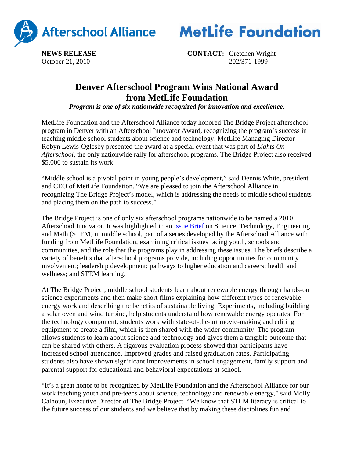



**NEWS RELEASE CONTACT:** Gretchen Wright October 21, 2010202/371-1999

## **Denver Afterschool Program Wins National Award from MetLife Foundation**

*Program is one of six nationwide recognized for innovation and excellence.*

MetLife Foundation and the Afterschool Alliance today honored The Bridge Project afterschool program in Denver with an Afterschool Innovator Award, recognizing the program's success in teaching middle school students about science and technology. MetLife Managing Director Robyn Lewis-Oglesby presented the award at a special event that was part of *Lights On Afterschool*, the only nationwide rally for afterschool programs. The Bridge Project also received \$5,000 to sustain its work.

"Middle school is a pivotal point in young people's development," said Dennis White, president and CEO of MetLife Foundation. "We are pleased to join the Afterschool Alliance in recognizing The Bridge Project's model, which is addressing the needs of middle school students and placing them on the path to success."

The Bridge Project is one of only six afterschool programs nationwide to be named a 2010 Afterschool Innovator. It was highlighted in an Issue Brief on Science, Technology, Engineering and Math (STEM) in middle school, part of a series developed by the Afterschool Alliance with funding from MetLife Foundation, examining critical issues facing youth, schools and communities, and the role that the programs play in addressing these issues. The briefs describe a variety of benefits that afterschool programs provide, including opportunities for community involvement; leadership development; pathways to higher education and careers; health and wellness; and STEM learning.

At The Bridge Project, middle school students learn about renewable energy through hands-on science experiments and then make short films explaining how different types of renewable energy work and describing the benefits of sustainable living. Experiments, including building a solar oven and wind turbine, help students understand how renewable energy operates. For the technology component, students work with state-of-the-art movie-making and editing equipment to create a film, which is then shared with the wider community. The program allows students to learn about science and technology and gives them a tangible outcome that can be shared with others. A rigorous evaluation process showed that participants have increased school attendance, improved grades and raised graduation rates. Participating students also have shown significant improvements in school engagement, family support and parental support for educational and behavioral expectations at school.

"It's a great honor to be recognized by MetLife Foundation and the Afterschool Alliance for our work teaching youth and pre-teens about science, technology and renewable energy," said Molly Calhoun, Executive Director of The Bridge Project. "We know that STEM literacy is critical to the future success of our students and we believe that by making these disciplines fun and